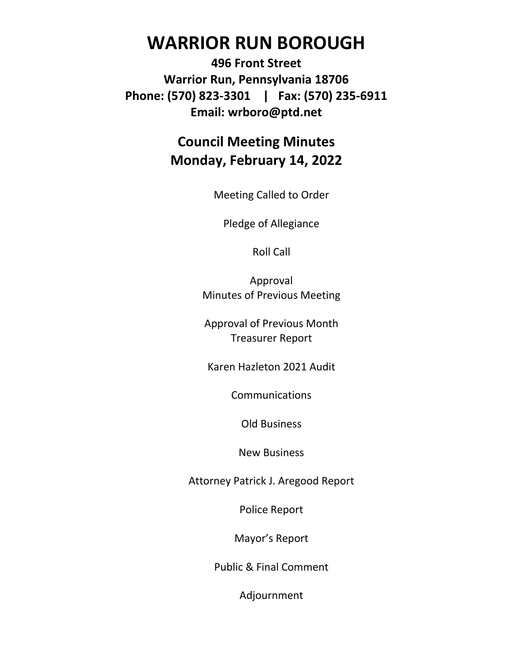# **WARRIOR RUN BOROUGH**

**496 Front Street Warrior Run, Pennsylvania 18706 Phone: (570) 823-3301 | Fax: (570) 235-6911 Email: wrboro@ptd.net**

### **Council Meeting Minutes Monday, February 14, 2022**

Meeting Called to Order

Pledge of Allegiance

Roll Call

Approval Minutes of Previous Meeting

Approval of Previous Month Treasurer Report

Karen Hazleton 2021 Audit

**Communications** 

Old Business

New Business

Attorney Patrick J. Aregood Report

Police Report

Mayor's Report

Public & Final Comment

Adjournment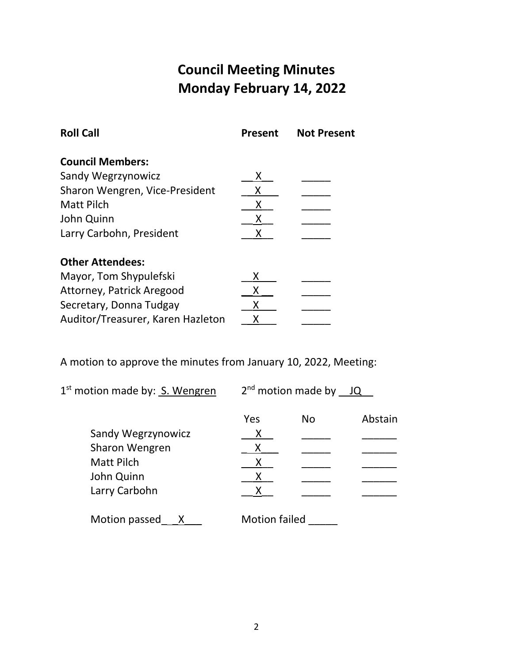# **Council Meeting Minutes Monday February 14, 2022**

| <b>Roll Call</b>                  | <b>Present</b> | <b>Not Present</b> |
|-----------------------------------|----------------|--------------------|
| <b>Council Members:</b>           |                |                    |
| Sandy Wegrzynowicz                |                |                    |
| Sharon Wengren, Vice-President    | x              |                    |
| Matt Pilch                        | х              |                    |
| John Quinn                        | х              |                    |
| Larry Carbohn, President          | х              |                    |
| <b>Other Attendees:</b>           |                |                    |
| Mayor, Tom Shypulefski            | x              |                    |
| Attorney, Patrick Aregood         |                |                    |
| Secretary, Donna Tudgay           | Х              |                    |
| Auditor/Treasurer, Karen Hazleton | x              |                    |

A motion to approve the minutes from January 10, 2022, Meeting:

1<sup>st</sup> motion made by: **S. Wengren** 2

 $2^{nd}$  motion made by  $\underline{\hspace{1em}\Box \hspace{1em}}\,$ 

|                    | Yes                  | No | Abstain |
|--------------------|----------------------|----|---------|
| Sandy Wegrzynowicz | Х                    |    |         |
| Sharon Wengren     | Χ                    |    |         |
| <b>Matt Pilch</b>  |                      |    |         |
| John Quinn         |                      |    |         |
| Larry Carbohn      | X                    |    |         |
| Motion passed      | <b>Motion failed</b> |    |         |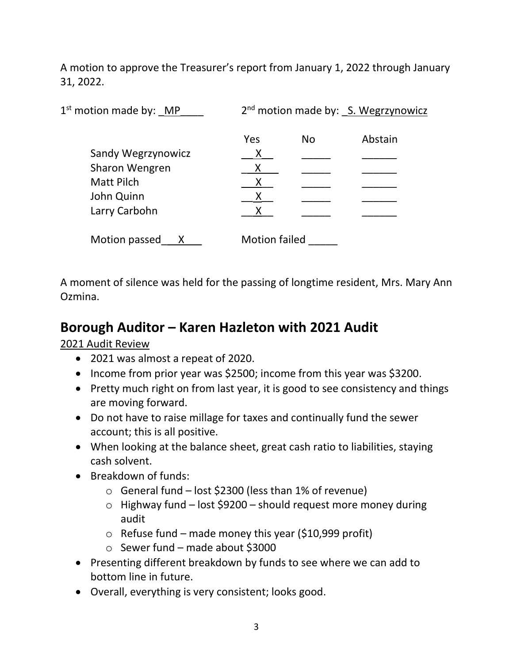A motion to approve the Treasurer's report from January 1, 2022 through January 31, 2022.

| $1st$ motion made by: MP |                      | 2 <sup>nd</sup> motion made by: S. Wegrzynowicz |         |  |
|--------------------------|----------------------|-------------------------------------------------|---------|--|
|                          | Yes                  | <b>No</b>                                       | Abstain |  |
| Sandy Wegrzynowicz       | Χ                    |                                                 |         |  |
| Sharon Wengren           | X                    |                                                 |         |  |
| <b>Matt Pilch</b>        | X                    |                                                 |         |  |
| John Quinn               | X                    |                                                 |         |  |
| Larry Carbohn            | Χ                    |                                                 |         |  |
| Motion passed            | <b>Motion failed</b> |                                                 |         |  |

A moment of silence was held for the passing of longtime resident, Mrs. Mary Ann Ozmina.

#### **Borough Auditor – Karen Hazleton with 2021 Audit**

2021 Audit Review

- 2021 was almost a repeat of 2020.
- Income from prior year was \$2500; income from this year was \$3200.
- Pretty much right on from last year, it is good to see consistency and things are moving forward.
- Do not have to raise millage for taxes and continually fund the sewer account; this is all positive.
- When looking at the balance sheet, great cash ratio to liabilities, staying cash solvent.
- Breakdown of funds:
	- o General fund lost \$2300 (less than 1% of revenue)
	- $\circ$  Highway fund lost \$9200 should request more money during audit
	- $\circ$  Refuse fund made money this year (\$10,999 profit)
	- $\circ$  Sewer fund made about \$3000
- Presenting different breakdown by funds to see where we can add to bottom line in future.
- Overall, everything is very consistent; looks good.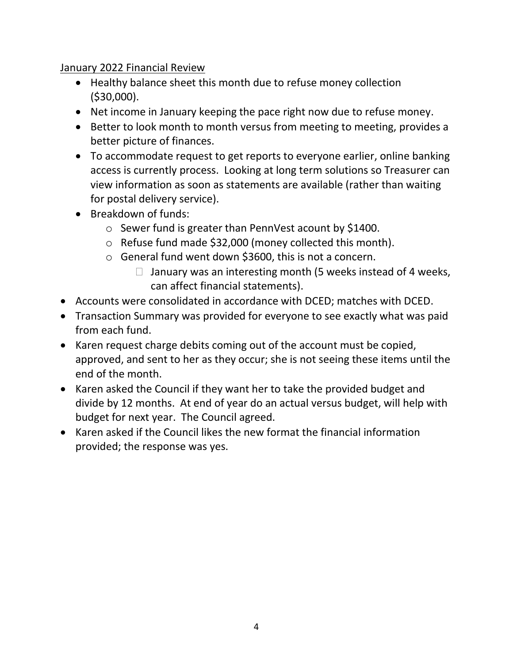#### January 2022 Financial Review

- Healthy balance sheet this month due to refuse money collection (\$30,000).
- Net income in January keeping the pace right now due to refuse money.
- Better to look month to month versus from meeting to meeting, provides a better picture of finances.
- To accommodate request to get reports to everyone earlier, online banking access is currently process. Looking at long term solutions so Treasurer can view information as soon as statements are available (rather than waiting for postal delivery service).
- Breakdown of funds:
	- o Sewer fund is greater than PennVest acount by \$1400.
	- o Refuse fund made \$32,000 (money collected this month).
	- o General fund went down \$3600, this is not a concern.
		- $\Box$  January was an interesting month (5 weeks instead of 4 weeks, can affect financial statements).
- Accounts were consolidated in accordance with DCED; matches with DCED.
- Transaction Summary was provided for everyone to see exactly what was paid from each fund.
- Karen request charge debits coming out of the account must be copied, approved, and sent to her as they occur; she is not seeing these items until the end of the month.
- Karen asked the Council if they want her to take the provided budget and divide by 12 months. At end of year do an actual versus budget, will help with budget for next year. The Council agreed.
- Karen asked if the Council likes the new format the financial information provided; the response was yes.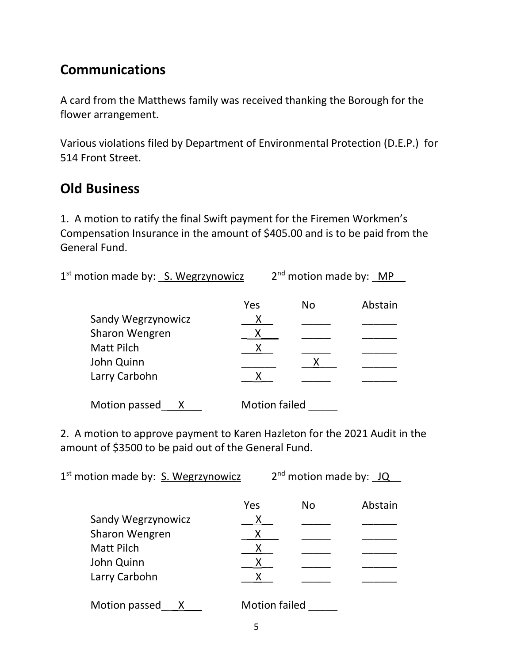## **Communications**

A card from the Matthews family was received thanking the Borough for the flower arrangement.

Various violations filed by Department of Environmental Protection (D.E.P.) for 514 Front Street.

#### **Old Business**

1. A motion to ratify the final Swift payment for the Firemen Workmen's Compensation Insurance in the amount of \$405.00 and is to be paid from the General Fund.

1<sup>st</sup> motion made by: <u>S. Wegrzynowicz</u> a 2<sup>nd</sup> motion made by: MP

|                    | Yes                  | No | Abstain |
|--------------------|----------------------|----|---------|
| Sandy Wegrzynowicz | Χ                    |    |         |
| Sharon Wengren     | Χ                    |    |         |
| <b>Matt Pilch</b>  |                      |    |         |
| John Quinn         |                      |    |         |
| Larry Carbohn      | X                    |    |         |
| Motion passed      | <b>Motion failed</b> |    |         |

2. A motion to approve payment to Karen Hazleton for the 2021 Audit in the amount of \$3500 to be paid out of the General Fund.

1<sup>st</sup> motion made by: S. Wegrzynowicz 2  $2^{nd}$  motion made by:  $JQ$ Yes No Abstain<br>X Sandy Wegrzynowicz \_\_ X\_\_ \_\_\_\_\_ \_\_\_\_\_\_ Sharon Wengren Matt Pilch \_\_ X\_\_ \_\_\_\_\_ \_\_\_\_\_\_ John Quinn \_\_ X\_\_ \_\_\_\_\_ \_\_\_\_\_\_ Larry Carbohn X Motion passed X Motion failed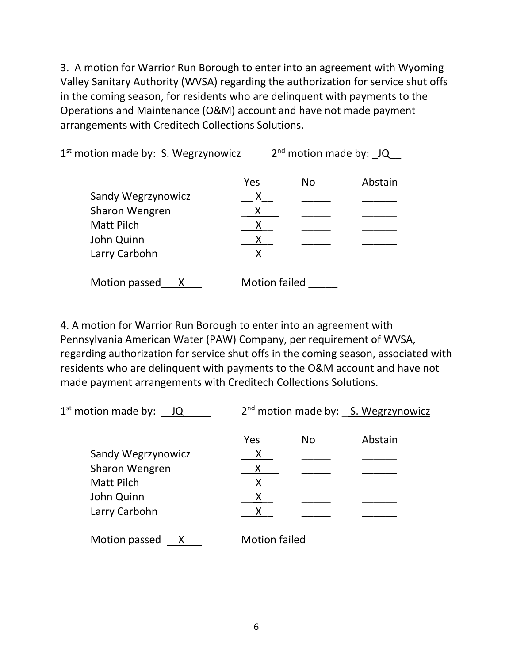3. A motion for Warrior Run Borough to enter into an agreement with Wyoming Valley Sanitary Authority (WVSA) regarding the authorization for service shut offs in the coming season, for residents who are delinquent with payments to the Operations and Maintenance (O&M) account and have not made payment arrangements with Creditech Collections Solutions.

1<sup>st</sup> motion made by: S. Wegrzynowicz 2  $2^{nd}$  motion made by:  $JQ$ Yes No Abstain Sandy Wegrzynowicz X Sharon Wengren \_ \_\_\_\_\_\_\_\_ \_\_\_ \_\_ <u>X</u> Matt Pilch \_\_ X\_\_ \_\_\_\_\_ \_\_\_\_\_\_ John Quinn **X** Larry Carbohn X Motion passed \_\_ X \_\_\_ Motion failed \_\_\_\_\_

4. A motion for Warrior Run Borough to enter into an agreement with Pennsylvania American Water (PAW) Company, per requirement of WVSA, regarding authorization for service shut offs in the coming season, associated with residents who are delinquent with payments to the O&M account and have not made payment arrangements with Creditech Collections Solutions.

| $1st$ motion made by: $JQ$ |                      |     | 2 <sup>nd</sup> motion made by: S. Wegrzynowicz |
|----------------------------|----------------------|-----|-------------------------------------------------|
|                            | Yes                  | No. | Abstain                                         |
| Sandy Wegrzynowicz         | X                    |     |                                                 |
| Sharon Wengren             |                      |     |                                                 |
| <b>Matt Pilch</b>          |                      |     |                                                 |
| John Quinn                 | X                    |     |                                                 |
| Larry Carbohn              |                      |     |                                                 |
| Motion passed<br>X         | <b>Motion failed</b> |     |                                                 |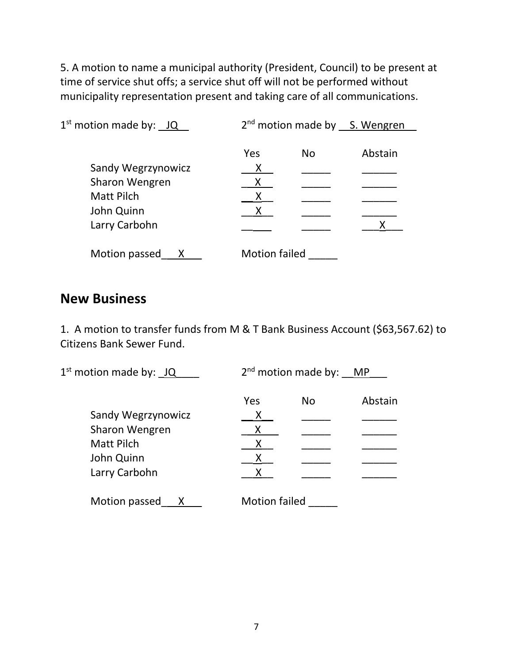5. A motion to name a municipal authority (President, Council) to be present at time of service shut offs; a service shut off will not be performed without municipality representation present and taking care of all communications.

| $1st$ motion made by: $JQ$ | $2nd$ motion made by $S.$ Wengren |    |         |  |
|----------------------------|-----------------------------------|----|---------|--|
|                            | Yes                               | No | Abstain |  |
|                            |                                   |    |         |  |
| Sandy Wegrzynowicz         | Χ                                 |    |         |  |
| Sharon Wengren             | X                                 |    |         |  |
| <b>Matt Pilch</b>          |                                   |    |         |  |
| John Quinn                 |                                   |    |         |  |
| Larry Carbohn              |                                   |    |         |  |
| Motion passed              | <b>Motion failed</b>              |    |         |  |

#### **New Business**

1. A motion to transfer funds from M & T Bank Business Account (\$63,567.62) to Citizens Bank Sewer Fund.

| $1st$ motion made by: $JQ$ | $2nd$ motion made by: MP |    |         |
|----------------------------|--------------------------|----|---------|
|                            | Yes                      | No | Abstain |
| Sandy Wegrzynowicz         | Χ                        |    |         |
| Sharon Wengren             | Χ                        |    |         |
| <b>Matt Pilch</b>          |                          |    |         |
| John Quinn                 |                          |    |         |
| Larry Carbohn              |                          |    |         |
| Motion passed<br>Χ         | <b>Motion failed</b>     |    |         |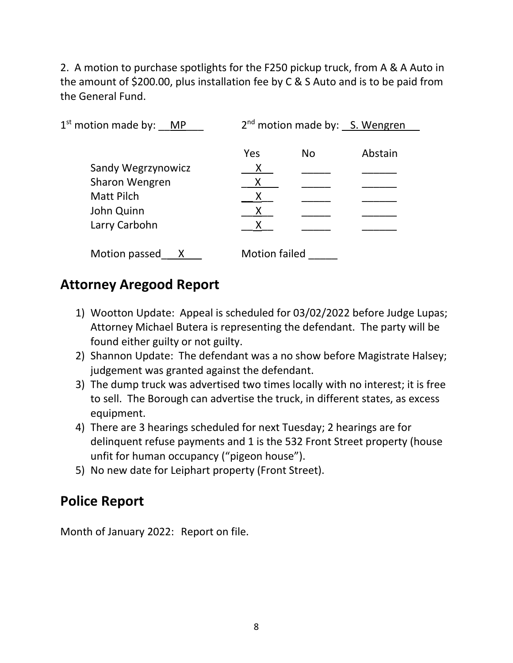2. A motion to purchase spotlights for the F250 pickup truck, from A & A Auto in the amount of \$200.00, plus installation fee by C & S Auto and is to be paid from the General Fund.

| $1st$ motion made by: MP | 2 <sup>nd</sup> motion made by: S. Wengren |     |         |
|--------------------------|--------------------------------------------|-----|---------|
|                          | Yes                                        | No. | Abstain |
| Sandy Wegrzynowicz       | X                                          |     |         |
| Sharon Wengren           |                                            |     |         |
| <b>Matt Pilch</b>        |                                            |     |         |
| John Quinn               |                                            |     |         |
| Larry Carbohn            |                                            |     |         |
| Motion passed            | <b>Motion failed</b>                       |     |         |

### **Attorney Aregood Report**

- 1) Wootton Update: Appeal is scheduled for 03/02/2022 before Judge Lupas; Attorney Michael Butera is representing the defendant. The party will be found either guilty or not guilty.
- 2) Shannon Update: The defendant was a no show before Magistrate Halsey; judgement was granted against the defendant.
- 3) The dump truck was advertised two times locally with no interest; it is free to sell. The Borough can advertise the truck, in different states, as excess equipment.
- 4) There are 3 hearings scheduled for next Tuesday; 2 hearings are for delinquent refuse payments and 1 is the 532 Front Street property (house unfit for human occupancy ("pigeon house").
- 5) No new date for Leiphart property (Front Street).

### **Police Report**

Month of January 2022: Report on file.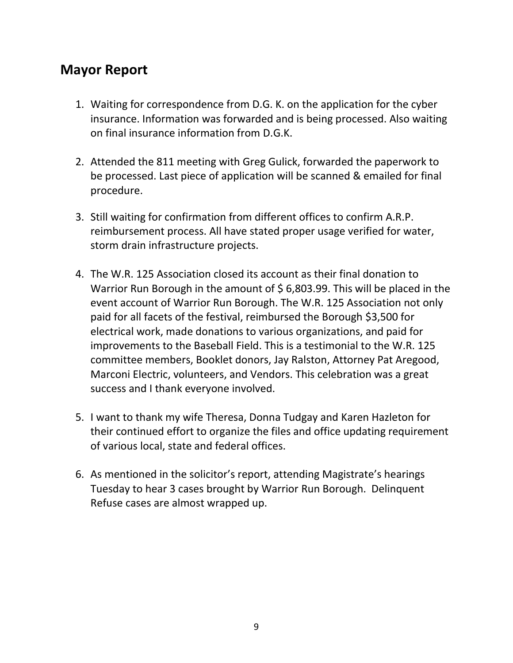### **Mayor Report**

- 1. Waiting for correspondence from D.G. K. on the application for the cyber insurance. Information was forwarded and is being processed. Also waiting on final insurance information from D.G.K.
- 2. Attended the 811 meeting with Greg Gulick, forwarded the paperwork to be processed. Last piece of application will be scanned & emailed for final procedure.
- 3. Still waiting for confirmation from different offices to confirm A.R.P. reimbursement process. All have stated proper usage verified for water, storm drain infrastructure projects.
- 4. The W.R. 125 Association closed its account as their final donation to Warrior Run Borough in the amount of \$6,803.99. This will be placed in the event account of Warrior Run Borough. The W.R. 125 Association not only paid for all facets of the festival, reimbursed the Borough \$3,500 for electrical work, made donations to various organizations, and paid for improvements to the Baseball Field. This is a testimonial to the W.R. 125 committee members, Booklet donors, Jay Ralston, Attorney Pat Aregood, Marconi Electric, volunteers, and Vendors. This celebration was a great success and I thank everyone involved.
- 5. I want to thank my wife Theresa, Donna Tudgay and Karen Hazleton for their continued effort to organize the files and office updating requirement of various local, state and federal offices.
- 6. As mentioned in the solicitor's report, attending Magistrate's hearings Tuesday to hear 3 cases brought by Warrior Run Borough. Delinquent Refuse cases are almost wrapped up.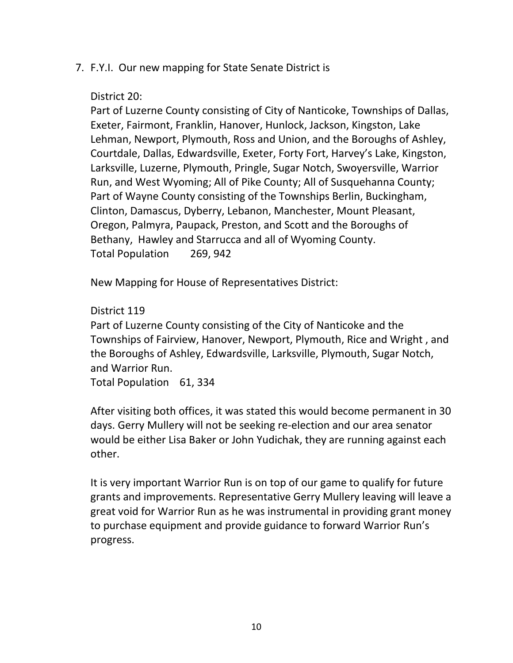#### 7. F.Y.I. Our new mapping for State Senate District is

#### District 20:

Part of Luzerne County consisting of City of Nanticoke, Townships of Dallas, Exeter, Fairmont, Franklin, Hanover, Hunlock, Jackson, Kingston, Lake Lehman, Newport, Plymouth, Ross and Union, and the Boroughs of Ashley, Courtdale, Dallas, Edwardsville, Exeter, Forty Fort, Harvey's Lake, Kingston, Larksville, Luzerne, Plymouth, Pringle, Sugar Notch, Swoyersville, Warrior Run, and West Wyoming; All of Pike County; All of Susquehanna County; Part of Wayne County consisting of the Townships Berlin, Buckingham, Clinton, Damascus, Dyberry, Lebanon, Manchester, Mount Pleasant, Oregon, Palmyra, Paupack, Preston, and Scott and the Boroughs of Bethany, Hawley and Starrucca and all of Wyoming County. Total Population 269, 942

New Mapping for House of Representatives District:

District 119

Part of Luzerne County consisting of the City of Nanticoke and the Townships of Fairview, Hanover, Newport, Plymouth, Rice and Wright , and the Boroughs of Ashley, Edwardsville, Larksville, Plymouth, Sugar Notch, and Warrior Run.

Total Population 61, 334

After visiting both offices, it was stated this would become permanent in 30 days. Gerry Mullery will not be seeking re-election and our area senator would be either Lisa Baker or John Yudichak, they are running against each other.

It is very important Warrior Run is on top of our game to qualify for future grants and improvements. Representative Gerry Mullery leaving will leave a great void for Warrior Run as he was instrumental in providing grant money to purchase equipment and provide guidance to forward Warrior Run's progress.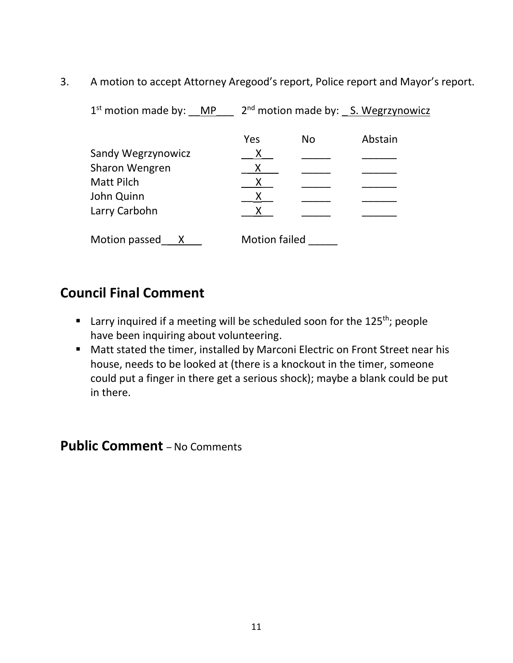3. A motion to accept Attorney Aregood's report, Police report and Mayor's report.

| $1st$ motion made by: MP |                      |           | 2 <sup>nd</sup> motion made by: S. Wegrzynowicz |
|--------------------------|----------------------|-----------|-------------------------------------------------|
|                          | Yes                  | <b>No</b> | Abstain                                         |
| Sandy Wegrzynowicz       | X                    |           |                                                 |
| Sharon Wengren           | Х                    |           |                                                 |
| <b>Matt Pilch</b>        | X                    |           |                                                 |
| John Quinn               | X                    |           |                                                 |
| Larry Carbohn            |                      |           |                                                 |
| Motion passed            | <b>Motion failed</b> |           |                                                 |

### **Council Final Comment**

- Larry inquired if a meeting will be scheduled soon for the 125<sup>th</sup>; people have been inquiring about volunteering.
- Matt stated the timer, installed by Marconi Electric on Front Street near his house, needs to be looked at (there is a knockout in the timer, someone could put a finger in there get a serious shock); maybe a blank could be put in there.

# **Public Comment** – No Comments